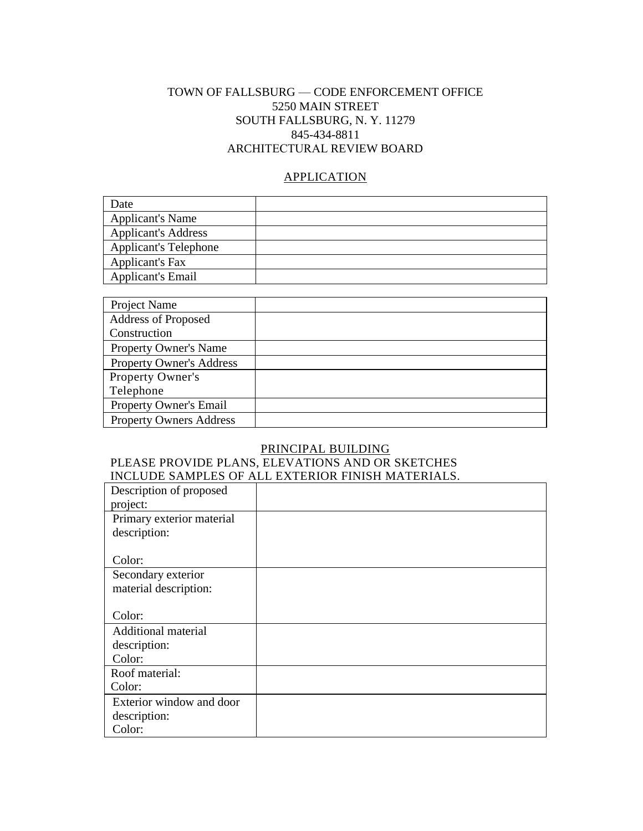### TOWN OF FALLSBURG — CODE ENFORCEMENT OFFICE 5250 MAIN STREET SOUTH FALLSBURG, N. Y. 11279 845-434-8811 ARCHITECTURAL REVIEW BOARD

#### **APPLICATION**

| Date                         |  |
|------------------------------|--|
| <b>Applicant's Name</b>      |  |
| <b>Applicant's Address</b>   |  |
| <b>Applicant's Telephone</b> |  |
| Applicant's Fax              |  |
| <b>Applicant's Email</b>     |  |

| Project Name                    |  |
|---------------------------------|--|
| Address of Proposed             |  |
| Construction                    |  |
| <b>Property Owner's Name</b>    |  |
| <b>Property Owner's Address</b> |  |
| Property Owner's                |  |
| Telephone                       |  |
| Property Owner's Email          |  |
| <b>Property Owners Address</b>  |  |

### PRINCIPAL BUILDING

#### PLEASE PROVIDE PLANS, ELEVATIONS AND OR SKETCHES INCLUDE SAMPLES OF ALL EXTERIOR FINISH MATERIALS.

| Description of proposed    |  |
|----------------------------|--|
| project:                   |  |
| Primary exterior material  |  |
| description:               |  |
|                            |  |
| Color:                     |  |
| Secondary exterior         |  |
| material description:      |  |
|                            |  |
| Color:                     |  |
| <b>Additional material</b> |  |
| description:               |  |
| Color:                     |  |
| Roof material:             |  |
| Color:                     |  |
| Exterior window and door   |  |
| description:               |  |
| Color:                     |  |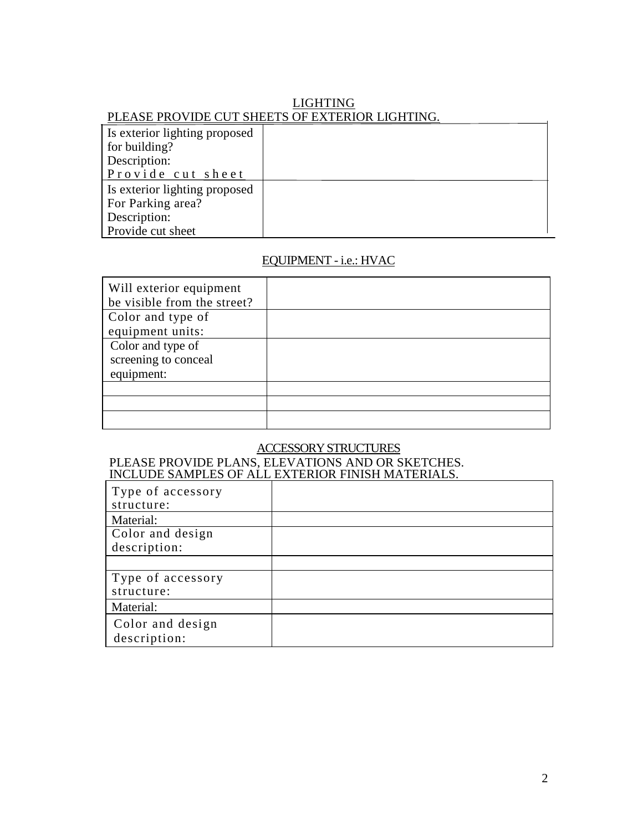## LIGHTING PLEASE PROVIDE CUT SHEETS OF EXTERIOR LIGHTING.

| Is exterior lighting proposed |  |
|-------------------------------|--|
| for building?                 |  |
| Description:                  |  |
| Provide cut sheet             |  |
| Is exterior lighting proposed |  |
| For Parking area?             |  |
| Description:                  |  |
| Provide cut sheet             |  |

### EQUIPMENT - i.e.: HVAC

| Will exterior equipment<br>be visible from the street? |  |
|--------------------------------------------------------|--|
| Color and type of                                      |  |
| equipment units:                                       |  |
| Color and type of                                      |  |
| screening to conceal                                   |  |
| equipment:                                             |  |
|                                                        |  |
|                                                        |  |
|                                                        |  |

## ACCESSORY STRUCTURES

#### PLEASE PROVIDE PLANS, ELEVATIONS AND OR SKETCHES. INCLUDE SAMPLES OF ALL EXTERIOR FINISH MATERIALS.

| Type of accessory |  |
|-------------------|--|
| structure:        |  |
| Material:         |  |
| Color and design  |  |
| description:      |  |
|                   |  |
| Type of accessory |  |
| structure:        |  |
| Material:         |  |
| Color and design  |  |
| description:      |  |

 $\mathbf{r}$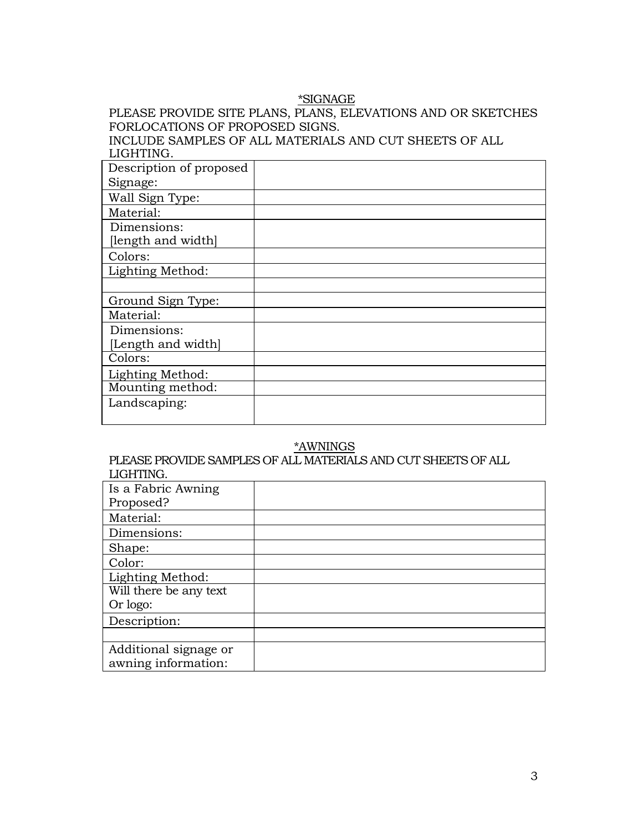### \*SIGNAGE

## PLEASE PROVIDE SITE PLANS, PLANS, ELEVATIONS AND OR SKETCHES FORLOCATIONS OF PROPOSED SIGNS.

INCLUDE SAMPLES OF ALL MATERIALS AND CUT SHEETS OF ALL LIGHTING.

| Description of proposed |  |
|-------------------------|--|
| Signage:                |  |
| Wall Sign Type:         |  |
| Material:               |  |
| Dimensions:             |  |
| [length and width]      |  |
| Colors:                 |  |
| Lighting Method:        |  |
|                         |  |
| Ground Sign Type:       |  |
| Material:               |  |
| Dimensions:             |  |
| [Length and width]      |  |
| Colors:                 |  |
| Lighting Method:        |  |
| Mounting method:        |  |
| Landscaping:            |  |
|                         |  |

### \*AWNINGS

PLEASE PROVIDE SAMPLES OF ALL MATERIALS AND CUT SHEETS OF ALL LIGHTING.

| Is a Fabric Awning<br>Proposed? |  |
|---------------------------------|--|
| Material:                       |  |
| Dimensions:                     |  |
| Shape:                          |  |
| Color:                          |  |
| Lighting Method:                |  |
| Will there be any text          |  |
| Or logo:                        |  |
| Description:                    |  |
|                                 |  |
| Additional signage or           |  |
| awning information:             |  |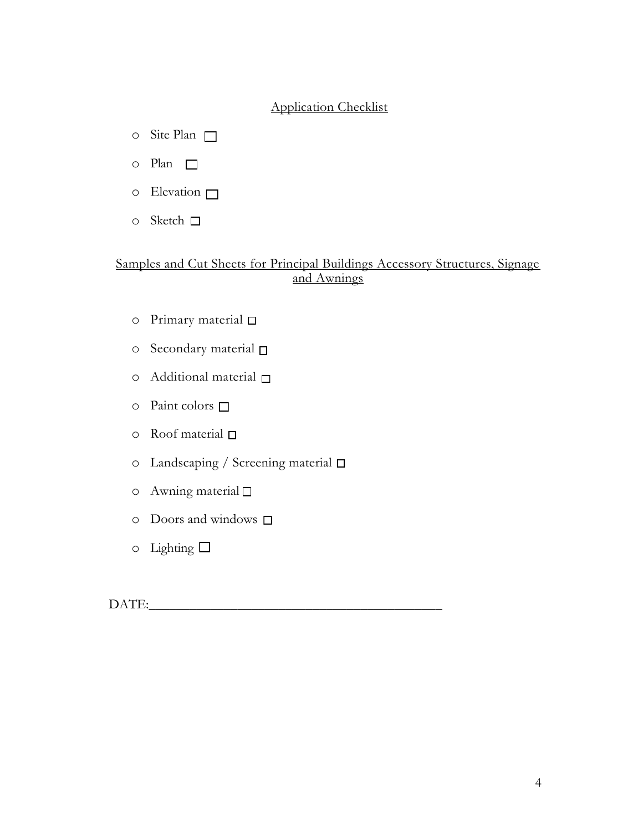## Application Checklist

- o Site Plan  $\Box$
- o Plan
- $\circ$  Elevation  $\Box$
- o Sketch □

# Samples and Cut Sheets for Principal Buildings Accessory Structures, Signage and Awnings

- o Primary material
- o Secondary material
- o Additional material
- $\circ$  Paint colors  $\Box$
- $\circ$  Roof material  $\Box$
- o Landscaping / Screening material
- $\circ$  Awning material  $\square$
- o Doors and windows
- $\circ$  Lighting  $\Box$

DATE:\_\_\_\_\_\_\_\_\_\_\_\_\_\_\_\_\_\_\_\_\_\_\_\_\_\_\_\_\_\_\_\_\_\_\_\_\_\_\_\_\_\_\_